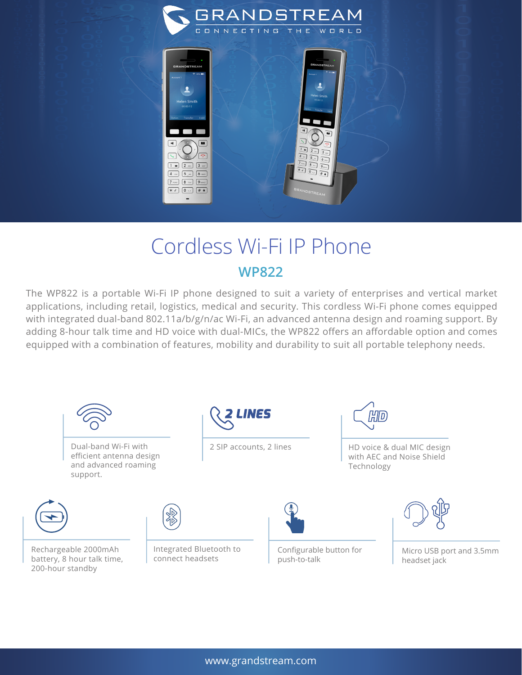

## Cordless Wi-Fi IP Phone **WP822**

The WP822 is a portable Wi-Fi IP phone designed to suit a variety of enterprises and vertical market applications, including retail, logistics, medical and security. This cordless Wi-Fi phone comes equipped with integrated dual-band 802.11a/b/g/n/ac Wi-Fi, an advanced antenna design and roaming support. By adding 8-hour talk time and HD voice with dual-MICs, the WP822 offers an affordable option and comes equipped with a combination of features, mobility and durability to suit all portable telephony needs.